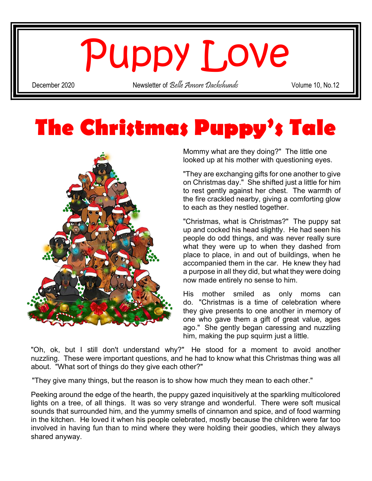## Puppy Love

December 2020 Newsletter of *Belle Amore Dachshunds* Volume 10, No.12

## The Christmas Puppy's Tale



Mommy what are they doing?" The little one looked up at his mother with questioning eyes.

"They are exchanging gifts for one another to give on Christmas day." She shifted just a little for him to rest gently against her chest. The warmth of the fire crackled nearby, giving a comforting glow to each as they nestled together.

"Christmas, what is Christmas?" The puppy sat up and cocked his head slightly. He had seen his people do odd things, and was never really sure what they were up to when they dashed from place to place, in and out of buildings, when he accompanied them in the car. He knew they had a purpose in all they did, but what they were doing now made entirely no sense to him.

His mother smiled as only moms can do. "Christmas is a time of celebration where they give presents to one another in memory of one who gave them a gift of great value, ages ago." She gently began caressing and nuzzling him, making the pup squirm just a little.

"Oh, ok, but I still don't understand why?" He stood for a moment to avoid another nuzzling. These were important questions, and he had to know what this Christmas thing was all about. "What sort of things do they give each other?"

"They give many things, but the reason is to show how much they mean to each other."

Peeking around the edge of the hearth, the puppy gazed inquisitively at the sparkling multicolored lights on a tree, of all things. It was so very strange and wonderful. There were soft musical sounds that surrounded him, and the yummy smells of cinnamon and spice, and of food warming in the kitchen. He loved it when his people celebrated, mostly because the children were far too involved in having fun than to mind where they were holding their goodies, which they always shared anyway.